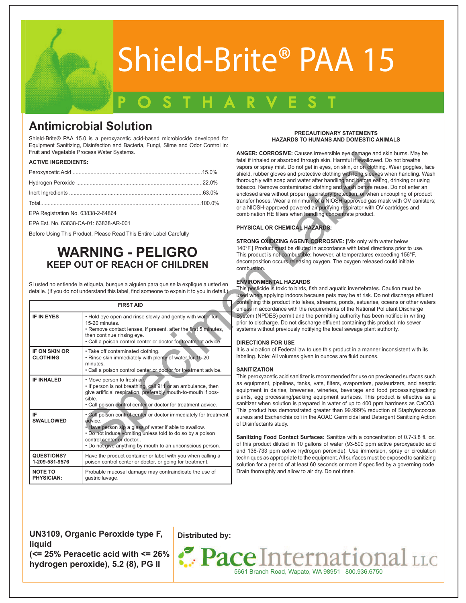

# Shield-Brite® PAA 15

## POSTHARVEST

### **Antimicrobial Solution**

Shield-Brite® PAA 15.0 is a peroxyacetic acid-based microbiocide developed for Equipment Sanitizing, Disinfection and Bacteria, Fungi, Slime and Odor Control in: Fruit and Vegetable Process Water Systems.

#### **ACTIVE INGREDIENTS:**

### **WARNING - PELIGRO KEEP OUT OF REACH OF CHILDREN**

| Fruit and Vegetable Process Water Systems.<br><b>ACTIVE INGREDIENTS:</b><br>Total……………………………………………………………………………………………100.0%                                                                               |                                                                                                                                                                                                                                                                                             |                                                                                                                                                                                                                                                                                                                 | <b>ANGER: CORROSIVE:</b> Causes irreversible eye damage and sk<br>fatal if inhaled or absorbed through skin. Harmful if swallowed. D<br>vapors or spray mist. Do not get in eyes, on skin, or on clothing.<br>shield, rubber gloves and protective clothing with long sleeves w<br>thoroughly with soap and water after handling and before eating<br>tobacco. Remove contaminated clothing and wash before reuse<br>enclosed area without proper respiratory protection, or when und<br>transfer hoses. Wear a minimum of a NIOSH-approved gas mas<br>or a NIOSH-approved powered air purifying respirator with OV c                                                                                                                                                                                                                                                                                                                                                                                                                             |  |
|----------------------------------------------------------------------------------------------------------------------------------------------------------------------------------------------------------|---------------------------------------------------------------------------------------------------------------------------------------------------------------------------------------------------------------------------------------------------------------------------------------------|-----------------------------------------------------------------------------------------------------------------------------------------------------------------------------------------------------------------------------------------------------------------------------------------------------------------|---------------------------------------------------------------------------------------------------------------------------------------------------------------------------------------------------------------------------------------------------------------------------------------------------------------------------------------------------------------------------------------------------------------------------------------------------------------------------------------------------------------------------------------------------------------------------------------------------------------------------------------------------------------------------------------------------------------------------------------------------------------------------------------------------------------------------------------------------------------------------------------------------------------------------------------------------------------------------------------------------------------------------------------------------|--|
| EPA Registration No. 63838-2-64864                                                                                                                                                                       | EPA Est. No. 63838-CA-01: 63838-AR-001<br>Before Using This Product, Please Read This Entire Label Carefully<br><b>WARNING - PELIGRO</b><br><b>KEEP OUT OF REACH OF CHILDREN</b>                                                                                                            |                                                                                                                                                                                                                                                                                                                 | combination HE filters when handling concentrate product.<br>PHYSICAL OR CHEMICAL HAZARDS:<br>STRONG OXIDIZING AGENT. CORROSIVE: [Mix only with wat<br>140°F.] Product must be diluted in accordance with label directio<br>This product is not combustible; however, at temperatures excee<br>decomposition occurs releasing oxygen. The oxygen released co<br>combustion.                                                                                                                                                                                                                                                                                                                                                                                                                                                                                                                                                                                                                                                                       |  |
| Si usted no entiende la etiqueta, busque a alguien para que se la explique a usted en<br>detalle. (If you do not understand this label, find someone to expain it to you in detail.)<br><b>FIRST AID</b> |                                                                                                                                                                                                                                                                                             | <b>ENVIRONMENTAL HAZARDS</b><br>This pesticide is toxic to birds, fish and aquatic invertebrates. Ca<br>used when applying indoors because pets may be at risk. Do no<br>containing this product into lakes, streams, ponds, estuaries, occ<br>unless in accordance with the requirements of the National Pollu |                                                                                                                                                                                                                                                                                                                                                                                                                                                                                                                                                                                                                                                                                                                                                                                                                                                                                                                                                                                                                                                   |  |
| <b>IF IN EYES</b>                                                                                                                                                                                        | . Hold eye open and rinse slowly and gently with water for<br>15-20 minutes.<br>• Remove contact lenses, if present, after the first 5 minutes,<br>then continue rinsing eye.<br>• Call a poison control center or doctor for treatment advice.                                             |                                                                                                                                                                                                                                                                                                                 | System (NPDES) permit and the permitting authority has been no<br>prior to discharge. Do not discharge effluent containing this prod<br>systems without previously notifying the local sewage plant auth<br><b>DIRECTIONS FOR USE</b><br>It is a violation of Federal law to use this product in a manner inc<br>labeling. Note: All volumes given in ounces are fluid ounces.<br><b>SANITIZATION</b><br>This peroxyacetic acid sanitizer is recommended for use on preck<br>as equipment, pipelines, tanks, vats, filters, evaporators, paste<br>equipment in dairies, breweries, wineries, beverage and food<br>plants, egg processing/packing equipment surfaces. This prod<br>sanitizer when solution is prepared in water of up to 400 ppm h<br>This product has demonstrated greater than 99.999% reduction<br>aureus and Escherichia coli in the AOAC Germicidal and Deterg<br>of Disinfectants study.<br>Sanitizing Food Contact Surfaces: Sanitize with a concentrat<br>of this product diluted in 10 gallons of water (93-500 ppm activ |  |
| IF ON SKIN OR<br><b>CLOTHING</b>                                                                                                                                                                         | · Take off contaminated clothing.<br>. Rinse skin immediately with plenty of water for 15-20<br>minutes.<br>• Call a poison control center or doctor for treatment advice.                                                                                                                  |                                                                                                                                                                                                                                                                                                                 |                                                                                                                                                                                                                                                                                                                                                                                                                                                                                                                                                                                                                                                                                                                                                                                                                                                                                                                                                                                                                                                   |  |
| <b>IF INHALED</b>                                                                                                                                                                                        | • Move person to fresh air.<br>. If person is not breathing, call 911 or an ambulance, then<br>give artificial respiration, preferably mouth-to-mouth if pos-<br>sible.<br>. Call poison control center or doctor for treatment advice.                                                     |                                                                                                                                                                                                                                                                                                                 |                                                                                                                                                                                                                                                                                                                                                                                                                                                                                                                                                                                                                                                                                                                                                                                                                                                                                                                                                                                                                                                   |  |
| IF<br><b>SWALLOWED</b>                                                                                                                                                                                   | . Call poison control center or doctor immediately for treatment<br>advice.<br>. Have person sip a glass of water if able to swallow.<br>. Do not induce vomiting unless told to do so by a poison<br>control center or doctor<br>. Do not give anything by mouth to an unconscious person. |                                                                                                                                                                                                                                                                                                                 |                                                                                                                                                                                                                                                                                                                                                                                                                                                                                                                                                                                                                                                                                                                                                                                                                                                                                                                                                                                                                                                   |  |
| QUESTIONS?<br>1-209-581-9576                                                                                                                                                                             | Have the product container or label with you when calling a<br>poison control center or doctor, or going for treatment.                                                                                                                                                                     |                                                                                                                                                                                                                                                                                                                 | and 136-733 ppm active hydrogen peroxide). Use immersion,<br>techniques as appropriate to the equipment. All surfaces must be<br>solution for a period of at least 60 seconds or more if specified b                                                                                                                                                                                                                                                                                                                                                                                                                                                                                                                                                                                                                                                                                                                                                                                                                                              |  |
| <b>NOTE TO</b><br><b>PHYSICIAN:</b>                                                                                                                                                                      | Probable mucosal damage may contraindicate the use of<br>gastric lavage.                                                                                                                                                                                                                    |                                                                                                                                                                                                                                                                                                                 | Drain thoroughly and allow to air dry. Do not rinse.                                                                                                                                                                                                                                                                                                                                                                                                                                                                                                                                                                                                                                                                                                                                                                                                                                                                                                                                                                                              |  |

#### **PRECAUTIONARY STATEMENTS HAZARDS TO HUMANS AND DOMESTIC ANIMALS**

**ANGER: CORROSIVE:** Causes irreversible eye damage and skin burns. May be fatal if inhaled or absorbed through skin. Harmful if swallowed. Do not breathe vapors or spray mist. Do not get in eyes, on skin, or on clothing. Wear goggles, face shield, rubber gloves and protective clothing with long sleeves when handling. Wash thoroughly with soap and water after handling and before eating, drinking or using tobacco. Remove contaminated clothing and wash before reuse. Do not enter an enclosed area without proper respiratory protection, or when uncoupling of product transfer hoses. Wear a minimum of a NIOSH-approved gas mask with OV canisters; or a NIOSH-approved powered air purifying respirator with OV cartridges and combination HE filters when handling concentrate product.

#### **PHYSICAL OR CHEMICAL HAZARDS:**

**STRONG OXIDIZING AGENT. CORROSIVE:** [Mix only with water below 140°F.] Product must be diluted in accordance with label directions prior to use. This product is not combustible; however, at temperatures exceeding 156°F, decomposition occurs releasing oxygen. The oxygen released could initiate combustion.

#### **ENVIRONMENTAL HAZARDS**

This pesticide is toxic to birds, fish and aquatic invertebrates. Caution must be used when applying indoors because pets may be at risk. Do not discharge effluent containing this product into lakes, streams, ponds, estuaries, oceans or other waters unless in accordance with the requirements of the National Pollutant Discharge System (NPDES) permit and the permitting authority has been notified in writing prior to discharge. Do not discharge effluent containing this product into sewer systems without previously notifying the local sewage plant authority.

#### **DIRECTIONS FOR USE**

It is a violation of Federal law to use this product in a manner inconsistent with its labeling. Note: All volumes given in ounces are fluid ounces.

#### **SANITIZATION**

This peroxyacetic acid sanitizer is recommended for use on precleaned surfaces such as equipment, pipelines, tanks, vats, filters, evaporators, pasteurizers, and aseptic equipment in dairies, breweries, wineries, beverage and food processing/packing plants, egg processing/packing equipment surfaces. This product is effective as a sanitizer when solution is prepared in water of up to 400 ppm hardness as CaCO3. This product has demonstrated greater than 99.999% reduction of Staphylococcus aureus and Escherichia coli in the AOAC Germicidal and Detergent Sanitizing Action of Disinfectants study.

**Sanitizing Food Contact Surfaces:** Sanitize with a concentration of 0.7-3.8 fl. oz. of this product diluted in 10 gallons of water (93-500 ppm active peroxyacetic acid and 136-733 ppm active hydrogen peroxide). Use immersion, spray or circulation techniques as appropriate to the equipment. All surfaces must be exposed to sanitizing solution for a period of at least 60 seconds or more if specified by a governing code. Drain thoroughly and allow to air dry. Do not rinse.

**UN3109, Organic Peroxide type F, liquid (<= 25% Peracetic acid with <= 26% hydrogen peroxide), 5.2 (8), PG II**

**Distributed by:**

Pace International LLC 5661 Branch Road, Wapato, WA 98951 800.936.6750